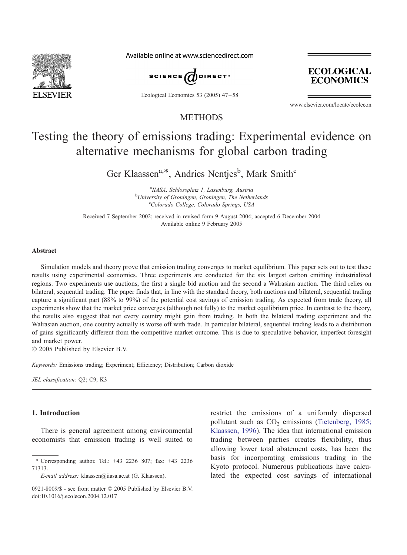

Available online at www.sciencedirect.com



Ecological Economics 53 (2005) 47 – 58



www.elsevier.com/locate/ecolecon

### **METHODS**

## Testing the theory of emissions trading: Experimental evidence on alternative mechanisms for global carbon trading

Ger Klaassen<sup>a,\*</sup>, Andries Nentjes<sup>b</sup>, Mark Smith<sup>c</sup>

<sup>a</sup>IIASA, Schlossplatz 1, Laxenburg, Austria<br><sup>b</sup>University of Croningen, Croningen, The Nother <sup>b</sup>University of Groningen, Groningen, The Netherlands Colorado College, Colorado Springs, USA

Received 7 September 2002; received in revised form 9 August 2004; accepted 6 December 2004 Available online 9 February 2005

#### Abstract

Simulation models and theory prove that emission trading converges to market equilibrium. This paper sets out to test these results using experimental economics. Three experiments are conducted for the six largest carbon emitting industrialized regions. Two experiments use auctions, the first a single bid auction and the second a Walrasian auction. The third relies on bilateral, sequential trading. The paper finds that, in line with the standard theory, both auctions and bilateral, sequential trading capture a significant part (88% to 99%) of the potential cost savings of emission trading. As expected from trade theory, all experiments show that the market price converges (although not fully) to the market equilibrium price. In contrast to the theory, the results also suggest that not every country might gain from trading. In both the bilateral trading experiment and the Walrasian auction, one country actually is worse off with trade. In particular bilateral, sequential trading leads to a distribution of gains significantly different from the competitive market outcome. This is due to speculative behavior, imperfect foresight and market power.

 $©$  2005 Published by Elsevier B.V.

Keywords: Emissions trading; Experiment; Efficiency; Distribution; Carbon dioxide

JEL classification: Q2; C9; K3

### 1. Introduction

There is general agreement among environmental economists that emission trading is well suited to restrict the emissions of a uniformly dispersed pollutant such as  $CO<sub>2</sub>$  emissions ([Tietenberg, 1985;](#page--1-0) Klaassen, 1996). The idea that international emission trading between parties creates flexibility, thus allowing lower total abatement costs, has been the basis for incorporating emissions trading in the Kyoto protocol. Numerous publications have calculated the expected cost savings of international

<sup>\*</sup> Corresponding author. Tel.: +43 2236 807; fax: +43 2236 71313.

E-mail address: klaassen@iiasa.ac.at (G. Klaassen).

<sup>0921-8009/\$ -</sup> see front matter  $\odot$  2005 Published by Elsevier B.V. doi:10.1016/j.ecolecon.2004.12.017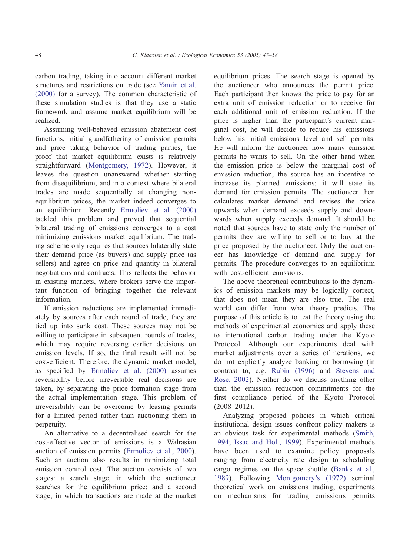carbon trading, taking into account different market structures and restrictions on trade (see [Yamin et al.](#page--1-0) (2000) for a survey). The common characteristic of these simulation studies is that they use a static framework and assume market equilibrium will be realized.

Assuming well-behaved emission abatement cost functions, initial grandfathering of emission permits and price taking behavior of trading parties, the proof that market equilibrium exists is relatively straightforward ([Montgomery, 1972\)](#page--1-0). However, it leaves the question unanswered whether starting from disequilibrium, and in a context where bilateral trades are made sequentially at changing nonequilibrium prices, the market indeed converges to an equilibrium. Recently [Ermoliev et al. \(2000\)](#page--1-0) tackled this problem and proved that sequential bilateral trading of emissions converges to a cost minimizing emissions market equilibrium. The trading scheme only requires that sources bilaterally state their demand price (as buyers) and supply price (as sellers) and agree on price and quantity in bilateral negotiations and contracts. This reflects the behavior in existing markets, where brokers serve the important function of bringing together the relevant information.

If emission reductions are implemented immediately by sources after each round of trade, they are tied up into sunk cost. These sources may not be willing to participate in subsequent rounds of trades, which may require reversing earlier decisions on emission levels. If so, the final result will not be cost-efficient. Therefore, the dynamic market model, as specified by [Ermoliev et al. \(2000\)](#page--1-0) assumes reversibility before irreversible real decisions are taken, by separating the price formation stage from the actual implementation stage. This problem of irreversibility can be overcome by leasing permits for a limited period rather than auctioning them in perpetuity.

An alternative to a decentralised search for the cost-effective vector of emissions is a Walrasian auction of emission permits ([Ermoliev et al., 2000\)](#page--1-0). Such an auction also results in minimizing total emission control cost. The auction consists of two stages: a search stage, in which the auctioneer searches for the equilibrium price; and a second stage, in which transactions are made at the market equilibrium prices. The search stage is opened by the auctioneer who announces the permit price. Each participant then knows the price to pay for an extra unit of emission reduction or to receive for each additional unit of emission reduction. If the price is higher than the participant's current marginal cost, he will decide to reduce his emissions below his initial emissions level and sell permits. He will inform the auctioneer how many emission permits he wants to sell. On the other hand when the emission price is below the marginal cost of emission reduction, the source has an incentive to increase its planned emissions; it will state its demand for emission permits. The auctioneer then calculates market demand and revises the price upwards when demand exceeds supply and downwards when supply exceeds demand. It should be noted that sources have to state only the number of permits they are willing to sell or to buy at the price proposed by the auctioneer. Only the auctioneer has knowledge of demand and supply for permits. The procedure converges to an equilibrium with cost-efficient emissions.

The above theoretical contributions to the dynamics of emission markets may be logically correct, that does not mean they are also true. The real world can differ from what theory predicts. The purpose of this article is to test the theory using the methods of experimental economics and apply these to international carbon trading under the Kyoto Protocol. Although our experiments deal with market adjustments over a series of iterations, we do not explicitly analyze banking or borrowing (in contrast to, e.g. [Rubin \(1996\)](#page--1-0) and [Stevens and](#page--1-0) Rose, 2002). Neither do we discuss anything other than the emission reduction commitments for the first compliance period of the Kyoto Protocol (2008–2012).

Analyzing proposed policies in which critical institutional design issues confront policy makers is an obvious task for experimental methods ([Smith,](#page--1-0) 1994; Issac and Holt, 1999). Experimental methods have been used to examine policy proposals ranging from electricity rate design to scheduling cargo regimes on the space shuttle ([Banks et al.,](#page--1-0) 1989). Following [Montgomery's \(1972\)](#page--1-0) seminal theoretical work on emissions trading, experiments on mechanisms for trading emissions permits